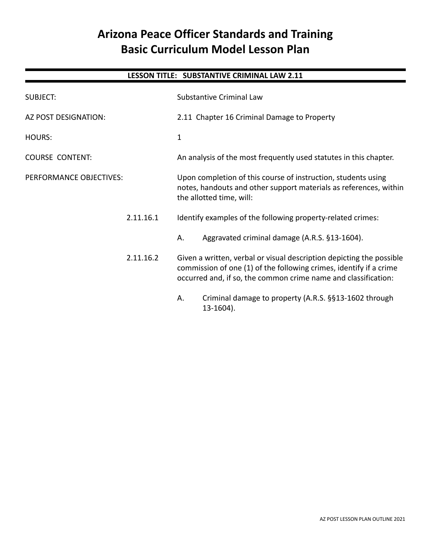# **Arizona Peace Officer Standards and Training Basic Curriculum Model Lesson Plan**

# **LESSON TITLE: SUBSTANTIVE CRIMINAL LAW 2.11**

| <b>SUBJECT:</b>                                             |           |                                                                                                                                                                                                              | <b>Substantive Criminal Law</b>                                    |
|-------------------------------------------------------------|-----------|--------------------------------------------------------------------------------------------------------------------------------------------------------------------------------------------------------------|--------------------------------------------------------------------|
| AZ POST DESIGNATION:                                        |           | 2.11 Chapter 16 Criminal Damage to Property                                                                                                                                                                  |                                                                    |
| HOURS:<br><b>COURSE CONTENT:</b><br>PERFORMANCE OBJECTIVES: |           | 1                                                                                                                                                                                                            |                                                                    |
|                                                             |           | An analysis of the most frequently used statutes in this chapter.                                                                                                                                            |                                                                    |
|                                                             |           | Upon completion of this course of instruction, students using<br>notes, handouts and other support materials as references, within<br>the allotted time, will:                                               |                                                                    |
|                                                             | 2.11.16.1 |                                                                                                                                                                                                              | Identify examples of the following property-related crimes:        |
|                                                             |           | Α.                                                                                                                                                                                                           | Aggravated criminal damage (A.R.S. §13-1604).                      |
|                                                             | 2.11.16.2 | Given a written, verbal or visual description depicting the possible<br>commission of one (1) of the following crimes, identify if a crime<br>occurred and, if so, the common crime name and classification: |                                                                    |
|                                                             |           | Α.                                                                                                                                                                                                           | Criminal damage to property (A.R.S. §§13-1602 through<br>13-1604). |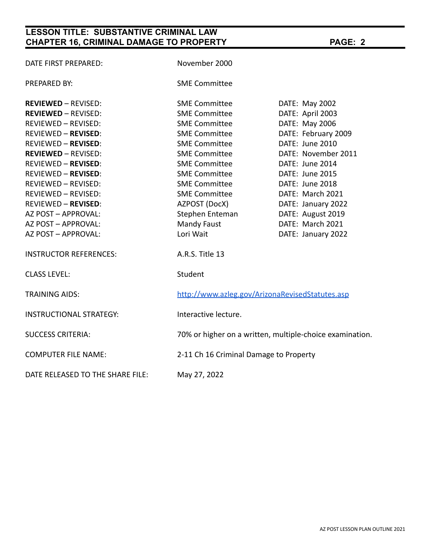# **LESSON TITLE: SUBSTANTIVE CRIMINAL LAW CHAPTER 16, CRIMINAL DAMAGE TO PROPERTY PAGE: 2**

| DATE FIRST PREPARED:             | November 2000                                   |                                                          |  |
|----------------------------------|-------------------------------------------------|----------------------------------------------------------|--|
| PREPARED BY:                     | <b>SME Committee</b>                            |                                                          |  |
| <b>REVIEWED - REVISED:</b>       | <b>SME Committee</b>                            | DATE: May 2002                                           |  |
| <b>REVIEWED - REVISED:</b>       | <b>SME Committee</b>                            | DATE: April 2003                                         |  |
| REVIEWED - REVISED:              | <b>SME Committee</b>                            | DATE: May 2006                                           |  |
| REVIEWED - REVISED:              | <b>SME Committee</b>                            | DATE: February 2009                                      |  |
| REVIEWED - REVISED:              | <b>SME Committee</b>                            | DATE: June 2010                                          |  |
| <b>REVIEWED - REVISED:</b>       | <b>SME Committee</b>                            | DATE: November 2011                                      |  |
| REVIEWED - REVISED:              | <b>SME Committee</b>                            | DATE: June 2014                                          |  |
| REVIEWED - REVISED:              | <b>SME Committee</b>                            | DATE: June 2015                                          |  |
| REVIEWED - REVISED:              | <b>SME Committee</b>                            | DATE: June 2018                                          |  |
| REVIEWED – REVISED:              | <b>SME Committee</b>                            | DATE: March 2021                                         |  |
| REVIEWED - REVISED:              | AZPOST (DocX)                                   | DATE: January 2022                                       |  |
| AZ POST – APPROVAL:              | Stephen Enteman                                 | DATE: August 2019                                        |  |
| AZ POST – APPROVAL:              | Mandy Faust                                     | DATE: March 2021                                         |  |
| AZ POST – APPROVAL:              | Lori Wait                                       | DATE: January 2022                                       |  |
| <b>INSTRUCTOR REFERENCES:</b>    | A.R.S. Title 13                                 |                                                          |  |
| <b>CLASS LEVEL:</b>              | Student                                         |                                                          |  |
| TRAINING AIDS:                   | http://www.azleg.gov/ArizonaRevisedStatutes.asp |                                                          |  |
| INSTRUCTIONAL STRATEGY:          | Interactive lecture.                            |                                                          |  |
| <b>SUCCESS CRITERIA:</b>         |                                                 | 70% or higher on a written, multiple-choice examination. |  |
| <b>COMPUTER FILE NAME:</b>       | 2-11 Ch 16 Criminal Damage to Property          |                                                          |  |
| DATE RELEASED TO THE SHARE FILE: | May 27, 2022                                    |                                                          |  |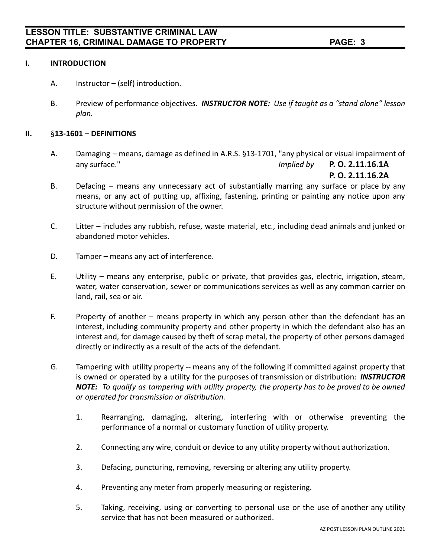### **I. INTRODUCTION**

- A. Instructor (self) introduction.
- B. Preview of performance objectives. *INSTRUCTOR NOTE: Use if taught as a "stand alone" lesson plan.*

### **II.** §**13-1601 – DEFINITIONS**

A. Damaging – means, damage as defined in A.R.S. §13-1701, "any physical or visual impairment of any surface." *Implied by* **P. O. 2.11.16.1A**

**P. O. 2.11.16.2A**

- B. Defacing means any unnecessary act of substantially marring any surface or place by any means, or any act of putting up, affixing, fastening, printing or painting any notice upon any structure without permission of the owner.
- C. Litter includes any rubbish, refuse, waste material, etc., including dead animals and junked or abandoned motor vehicles.
- D. Tamper means any act of interference.
- E. Utility means any enterprise, public or private, that provides gas, electric, irrigation, steam, water, water conservation, sewer or communications services as well as any common carrier on land, rail, sea or air.
- F. Property of another means property in which any person other than the defendant has an interest, including community property and other property in which the defendant also has an interest and, for damage caused by theft of scrap metal, the property of other persons damaged directly or indirectly as a result of the acts of the defendant.
- G. Tampering with utility property -- means any of the following if committed against property that is owned or operated by a utility for the purposes of transmission or distribution: *INSTRUCTOR NOTE: To qualify as tampering with utility property, the property has to be proved to be owned or operated for transmission or distribution.*
	- 1. Rearranging, damaging, altering, interfering with or otherwise preventing the performance of a normal or customary function of utility property.
	- 2. Connecting any wire, conduit or device to any utility property without authorization.
	- 3. Defacing, puncturing, removing, reversing or altering any utility property.
	- 4. Preventing any meter from properly measuring or registering.
	- 5. Taking, receiving, using or converting to personal use or the use of another any utility service that has not been measured or authorized.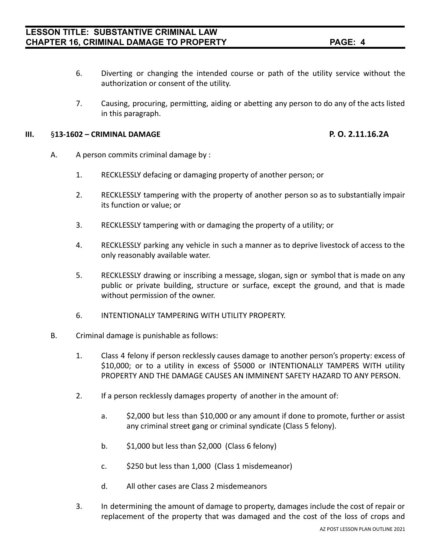- 6. Diverting or changing the intended course or path of the utility service without the authorization or consent of the utility.
- 7. Causing, procuring, permitting, aiding or abetting any person to do any of the acts listed in this paragraph.

### **III.** §**13-1602 – CRIMINAL DAMAGE P. O. 2.11.16.2A**

- A. A person commits criminal damage by :
	- 1. RECKLESSLY defacing or damaging property of another person; or
	- 2. RECKLESSLY tampering with the property of another person so as to substantially impair its function or value; or
	- 3. RECKLESSLY tampering with or damaging the property of a utility; or
	- 4. RECKLESSLY parking any vehicle in such a manner as to deprive livestock of access to the only reasonably available water.
	- 5. RECKLESSLY drawing or inscribing a message, slogan, sign or symbol that is made on any public or private building, structure or surface, except the ground, and that is made without permission of the owner.
	- 6. INTENTIONALLY TAMPERING WITH UTILITY PROPERTY.
- B. Criminal damage is punishable as follows:
	- 1. Class 4 felony if person recklessly causes damage to another person's property: excess of \$10,000; or to a utility in excess of \$5000 or INTENTIONALLY TAMPERS WITH utility PROPERTY AND THE DAMAGE CAUSES AN IMMINENT SAFETY HAZARD TO ANY PERSON.
	- 2. If a person recklessly damages property of another in the amount of:
		- a. \$2,000 but less than \$10,000 or any amount if done to promote, further or assist any criminal street gang or criminal syndicate (Class 5 felony).
		- b.  $$1,000$  but less than \$2,000 (Class 6 felony)
		- c. \$250 but less than 1,000 (Class 1 misdemeanor)
		- d. All other cases are Class 2 misdemeanors
	- 3. In determining the amount of damage to property, damages include the cost of repair or replacement of the property that was damaged and the cost of the loss of crops and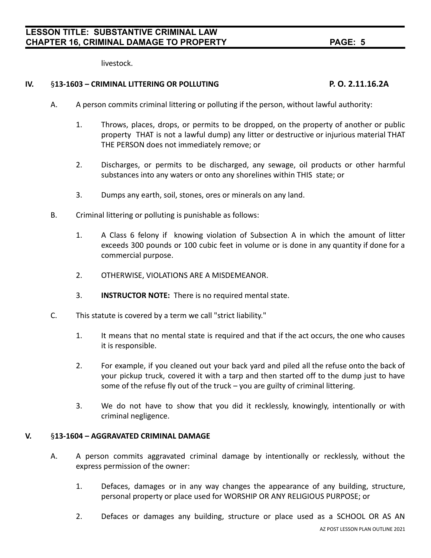livestock.

### **IV.** §**13-1603 – CRIMINAL LITTERING OR POLLUTING P. O. 2.11.16.2A**

- A. A person commits criminal littering or polluting if the person, without lawful authority:
	- 1. Throws, places, drops, or permits to be dropped, on the property of another or public property THAT is not a lawful dump) any litter or destructive or injurious material THAT THE PERSON does not immediately remove; or
	- 2. Discharges, or permits to be discharged, any sewage, oil products or other harmful substances into any waters or onto any shorelines within THIS state; or
	- 3. Dumps any earth, soil, stones, ores or minerals on any land.
- B. Criminal littering or polluting is punishable as follows:
	- 1. A Class 6 felony if knowing violation of Subsection A in which the amount of litter exceeds 300 pounds or 100 cubic feet in volume or is done in any quantity if done for a commercial purpose.
	- 2. OTHERWISE, VIOLATIONS ARE A MISDEMEANOR.
	- 3. **INSTRUCTOR NOTE:** There is no required mental state.
- C. This statute is covered by a term we call "strict liability."
	- 1. It means that no mental state is required and that if the act occurs, the one who causes it is responsible.
	- 2. For example, if you cleaned out your back yard and piled all the refuse onto the back of your pickup truck, covered it with a tarp and then started off to the dump just to have some of the refuse fly out of the truck – you are guilty of criminal littering.
	- 3. We do not have to show that you did it recklessly, knowingly, intentionally or with criminal negligence.

### **V.** §**13-1604 – AGGRAVATED CRIMINAL DAMAGE**

- A. A person commits aggravated criminal damage by intentionally or recklessly, without the express permission of the owner:
	- 1. Defaces, damages or in any way changes the appearance of any building, structure, personal property or place used for WORSHIP OR ANY RELIGIOUS PURPOSE; or
	- 2. Defaces or damages any building, structure or place used as a SCHOOL OR AS AN